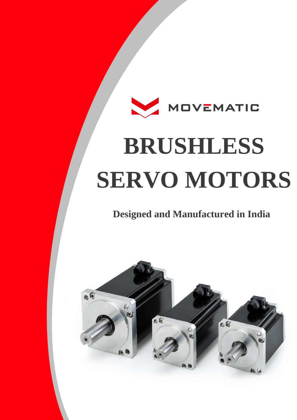# MOVEMATIC **BRUSHLESS SERVO MOTORS**

#### **Designed and Manufactured in India**

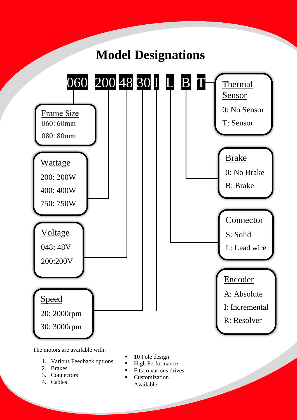

The motors are available with:

- 1. Various Feedback options
- 2. Brakes
- 3. Connectors
- 4. Cables
- 10 Pole design
- High Performance
- Fits to various drives
- Customization
	- Available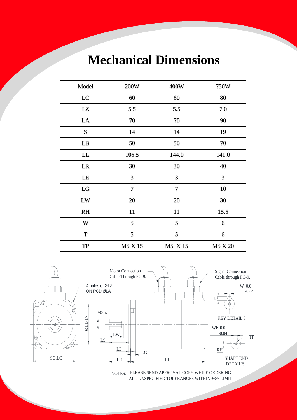### **Mechanical Dimensions**

| Model     | 200W           | 400W    | 750W    |
|-----------|----------------|---------|---------|
| LC        | 60             | 60      | 80      |
| LZ        | 5.5            | 5.5     | 7.0     |
| LA        | 70             | 70      | 90      |
| S         | 14             | 14      | 19      |
| LB        | 50             | 50      | 70      |
| LL        | 105.5          | 144.0   | 141.0   |
| LR        | 30             | 30      | 40      |
| LE        | 3              | 3       | 3       |
| LG        | $\overline{7}$ | 7       | 10      |
| LW        | 20             | 20      | 30      |
| RH        | 11             | 11      | 15.5    |
| W         | 5              | 5       | 6       |
| ${\bf T}$ | 5              | 5       | 6       |
| TP        | M5 X 15        | M5 X 15 | M5 X 20 |



ALL UNSPECIFIED TOLERANCES WITHIN ±3% LIMIT NOTES: PLEASE SEND APPROVAL COPY WHILE ORDERING.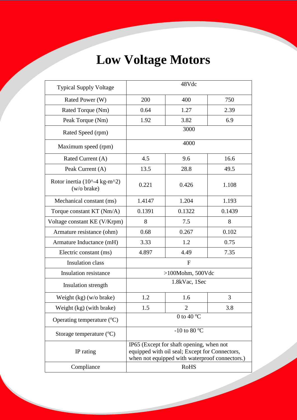## **Low Voltage Motors**

| <b>Typical Supply Voltage</b>               | 48Vdc                                                                                                                                        |                |        |  |
|---------------------------------------------|----------------------------------------------------------------------------------------------------------------------------------------------|----------------|--------|--|
| Rated Power (W)                             | 200                                                                                                                                          | 400            | 750    |  |
| Rated Torque (Nm)                           | 0.64                                                                                                                                         | 1.27           | 2.39   |  |
| Peak Torque (Nm)                            | 1.92                                                                                                                                         | 3.82           | 6.9    |  |
| Rated Speed (rpm)                           | 3000                                                                                                                                         |                |        |  |
| Maximum speed (rpm)                         | 4000                                                                                                                                         |                |        |  |
| Rated Current (A)                           | 4.5                                                                                                                                          | 9.6            | 16.6   |  |
| Peak Current (A)                            | 13.5                                                                                                                                         | 28.8           | 49.5   |  |
| Rotor inertia (10^-4 kg-m^2)<br>(w/o brake) | 0.221                                                                                                                                        | 0.426          | 1.108  |  |
| Mechanical constant (ms)                    | 1.4147                                                                                                                                       | 1.204          | 1.193  |  |
| Torque constant KT (Nm/A)                   | 0.1391                                                                                                                                       | 0.1322         | 0.1439 |  |
| Voltage constant KE (V/Krpm)                | 8                                                                                                                                            | 7.5            | 8      |  |
| Armature resistance (ohm)                   | 0.68                                                                                                                                         | 0.267          | 0.102  |  |
| Armature Inductance (mH)                    | 3.33                                                                                                                                         | 1.2            | 0.75   |  |
| Electric constant (ms)                      | 4.897                                                                                                                                        | 4.49           | 7.35   |  |
| <b>Insulation</b> class                     | $\mathbf{F}$                                                                                                                                 |                |        |  |
| <b>Insulation resistance</b>                | $>100$ Mohm, 500Vdc                                                                                                                          |                |        |  |
| Insulation strength                         | 1.8kVac, 1Sec                                                                                                                                |                |        |  |
| Weight (kg) (w/o brake)                     | 1.2                                                                                                                                          | 1.6            | 3      |  |
| Weight (kg) (with brake)                    | 1.5                                                                                                                                          | $\overline{2}$ | 3.8    |  |
| Operating temperature $({}^{\circ}C)$       | 0 to 40 $^{\circ}$ C                                                                                                                         |                |        |  |
| Storage temperature $({}^{\circ}C)$         | -10 to 80 $^{\circ}$ C                                                                                                                       |                |        |  |
| IP rating                                   | IP65 (Except for shaft opening, when not<br>equipped with oil seal; Except for Connectors,<br>when not equipped with waterproof connectors.) |                |        |  |
| Compliance                                  | <b>RoHS</b>                                                                                                                                  |                |        |  |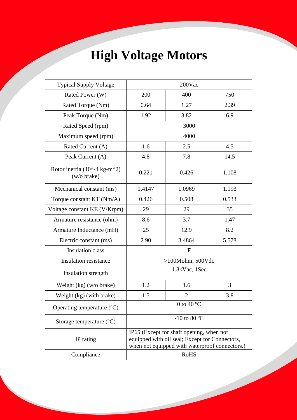## **High Voltage Motors**

| <b>Typical Supply Voltage</b>               | 200Vac                                                                                                                                       |                |       |  |
|---------------------------------------------|----------------------------------------------------------------------------------------------------------------------------------------------|----------------|-------|--|
| Rated Power (W)                             | 200                                                                                                                                          | 400            | 750   |  |
| Rated Torque (Nm)                           | 0.64                                                                                                                                         | 1.27           | 2.39  |  |
| Peak Torque (Nm)                            | 1.92                                                                                                                                         | 3.82           | 6.9   |  |
| Rated Speed (rpm)                           | 3000                                                                                                                                         |                |       |  |
| Maximum speed (rpm)                         | 4000                                                                                                                                         |                |       |  |
| Rated Current (A)                           | 1.6                                                                                                                                          | 2.5            | 4.5   |  |
| Peak Current (A)                            | 4.8                                                                                                                                          | 7.8            | 14.5  |  |
| Rotor inertia (10^-4 kg-m^2)<br>(w/o brake) | 0.221                                                                                                                                        | 0.426          | 1.108 |  |
| Mechanical constant (ms)                    | 1.4147                                                                                                                                       | 1.0969         | 1.193 |  |
| Torque constant KT (Nm/A)                   | 0.426                                                                                                                                        | 0.508          | 0.533 |  |
| Voltage constant KE (V/Krpm)                | 29                                                                                                                                           | 29             | 35    |  |
| Armature resistance (ohm)                   | 8.6                                                                                                                                          | 3.7            | 1.47  |  |
| Armature Inductance (mH)                    | 25                                                                                                                                           | 12.9           | 8.2   |  |
| Electric constant (ms)                      | 2.90                                                                                                                                         | 3.4864         | 5.578 |  |
| <b>Insulation</b> class                     | $\mathbf{F}$                                                                                                                                 |                |       |  |
| <b>Insulation resistance</b>                | $>100$ Mohm, 500Vdc                                                                                                                          |                |       |  |
| Insulation strength                         | 1.8kVac, 1Sec                                                                                                                                |                |       |  |
| Weight $(kg)$ (w/o brake)                   | 1.2                                                                                                                                          | 1.6            | 3     |  |
| Weight (kg) (with brake)                    | 1.5                                                                                                                                          | $\overline{2}$ | 3.8   |  |
| Operating temperature $({}^{\circ}C)$       | 0 to 40 $\overline{C}$                                                                                                                       |                |       |  |
| Storage temperature $({}^{\circ}C)$         | -10 to 80 $^{\circ}$ C                                                                                                                       |                |       |  |
| IP rating                                   | IP65 (Except for shaft opening, when not<br>equipped with oil seal; Except for Connectors,<br>when not equipped with waterproof connectors.) |                |       |  |
| Compliance                                  | <b>RoHS</b>                                                                                                                                  |                |       |  |